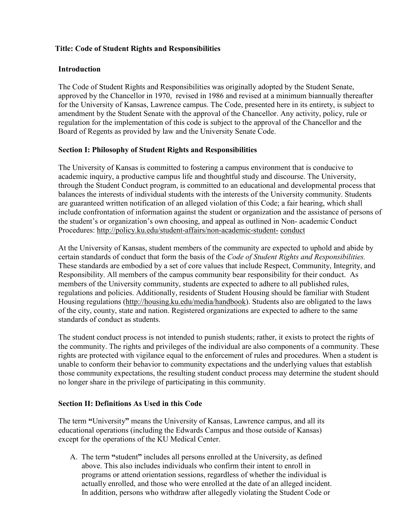## **Title: Code of Student Rights and Responsibilities**

#### **Introduction**

The Code of Student Rights and Responsibilities was originally adopted by the Student Senate, approved by the Chancellor in 1970, revised in 1986 and revised at a minimum biannually thereafter for the University of Kansas, Lawrence campus. The Code, presented here in its entirety, is subject to amendment by the Student Senate with the approval of the Chancellor. Any activity, policy, rule or regulation for the implementation of this code is subject to the approval of the Chancellor and the Board of Regents as provided by law and the University Senate Code.

### **Section I: Philosophy of Student Rights and Responsibilities**

The University of Kansas is committed to fostering a campus environment that is conducive to academic inquiry, a productive campus life and thoughtful study and discourse. The University, through the Student Conduct program, is committed to an educational and developmental process that balances the interests of individual students with the interests of the University community. Students are guaranteed written notification of an alleged violation of this Code; a fair hearing, which shall include confrontation of information against the student or organization and the assistance of persons of the student's or organization's own choosing, and appeal as outlined in Non- academic Conduct Procedures: [http://policy.ku.edu/student-affairs/non-academic-student-](http://policy.ku.edu/student-affairs/non-academic-student-conduct) [conduct](http://policy.ku.edu/student-affairs/non-academic-student-conduct)

At the University of Kansas, student members of the community are expected to uphold and abide by certain standards of conduct that form the basis of the *Code of Student Rights and Responsibilities.*  These standards are embodied by a set of core values that include Respect, Community, Integrity, and Responsibility. All members of the campus community bear responsibility for their conduct. As members of the University community, students are expected to adhere to all published rules, regulations and policies. Additionally, residents of Student Housing should be familiar with Student Housing regulations [\(http://housing.ku.edu/media/handbook\).](http://housing.ku.edu/media/handbook) Students also are obligated to the laws of the city, county, state and nation. Registered organizations are expected to adhere to the same standards of conduct as students.

The student conduct process is not intended to punish students; rather, it exists to protect the rights of the community. The rights and privileges of the individual are also components of a community. These rights are protected with vigilance equal to the enforcement of rules and procedures. When a student is unable to conform their behavior to community expectations and the underlying values that establish those community expectations, the resulting student conduct process may determine the student should no longer share in the privilege of participating in this community.

### **Section II: Definitions As Used in this Code**

The term **"**University**"** means the University of Kansas, Lawrence campus, and all its educational operations (including the Edwards Campus and those outside of Kansas) except for the operations of the KU Medical Center.

A. The term **"**student**"** includes all persons enrolled at the University, as defined above. This also includes individuals who confirm their intent to enroll in programs or attend orientation sessions, regardless of whether the individual is actually enrolled, and those who were enrolled at the date of an alleged incident. In addition, persons who withdraw after allegedly violating the Student Code or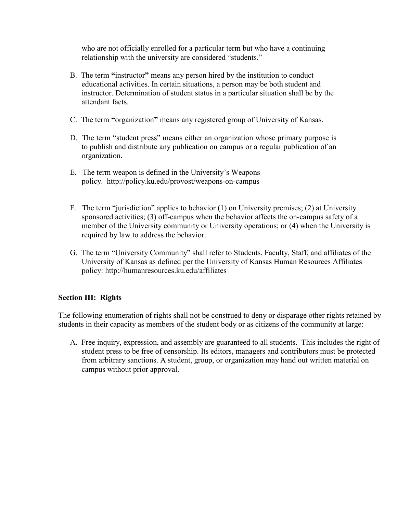who are not officially enrolled for a particular term but who have a continuing relationship with the university are considered "students."

- B. The term **"**instructor**"** means any person hired by the institution to conduct educational activities. In certain situations, a person may be both student and instructor. Determination of student status in a particular situation shall be by the attendant facts.
- C. The term **"**organization**"** means any registered group of University of Kansas.
- D. The term "student press" means either an organization whose primary purpose is to publish and distribute any publication on campus or a regular publication of an organization.
- E. The term weapon is defined in the University's Weapons policy. <http://policy.ku.edu/provost/weapons-on-campus>
- F. The term "jurisdiction" applies to behavior (1) on University premises; (2) at University sponsored activities; (3) off-campus when the behavior affects the on-campus safety of a member of the University community or University operations; or (4) when the University is required by law to address the behavior.
- G. The term "University Community" shall refer to Students, Faculty, Staff, and affiliates of the University of Kansas as defined per the University of Kansas Human Resources Affiliates policy: <http://humanresources.ku.edu/affiliates>

### **Section III: Rights**

The following enumeration of rights shall not be construed to deny or disparage other rights retained by students in their capacity as members of the student body or as citizens of the community at large:

A. Free inquiry, expression, and assembly are guaranteed to all students. This includes the right of student press to be free of censorship. Its editors, managers and contributors must be protected from arbitrary sanctions. A student, group, or organization may hand out written material on campus without prior approval.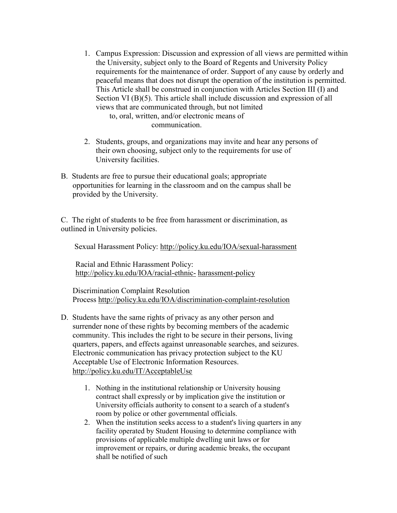- 1. Campus Expression: Discussion and expression of all views are permitted within the University, subject only to the Board of Regents and University Policy requirements for the maintenance of order. Support of any cause by orderly and peaceful means that does not disrupt the operation of the institution is permitted. This Article shall be construed in conjunction with Articles Section III (I) and Section VI (B)(5). This article shall include discussion and expression of all views that are communicated through, but not limited to, oral, written, and/or electronic means of communication.
- 2. Students, groups, and organizations may invite and hear any persons of their own choosing, subject only to the requirements for use of University facilities.
- B. Students are free to pursue their educational goals; appropriate opportunities for learning in the classroom and on the campus shall be provided by the University.

C. The right of students to be free from harassment or discrimination, as outlined in University policies.

Sexual Harassment Policy: <http://policy.ku.edu/IOA/sexual-harassment>

Racial and Ethnic Harassment Policy: [http://policy.ku.edu/IOA/racial-ethnic-](http://policy.ku.edu/IOA/racial-ethnic-harassment-policy) [harassment-policy](http://policy.ku.edu/IOA/racial-ethnic-harassment-policy)

Discrimination Complaint Resolution Process <http://policy.ku.edu/IOA/discrimination-complaint-resolution>

- D. Students have the same rights of privacy as any other person and surrender none of these rights by becoming members of the academic community. This includes the right to be secure in their persons, living quarters, papers, and effects against unreasonable searches, and seizures. Electronic communication has privacy protection subject to the KU Acceptable Use of Electronic Information Resources. <http://policy.ku.edu/IT/AcceptableUse>
	- 1. Nothing in the institutional relationship or University housing contract shall expressly or by implication give the institution or University officials authority to consent to a search of a student's room by police or other governmental officials.
	- 2. When the institution seeks access to a student's living quarters in any facility operated by Student Housing to determine compliance with provisions of applicable multiple dwelling unit laws or for improvement or repairs, or during academic breaks, the occupant shall be notified of such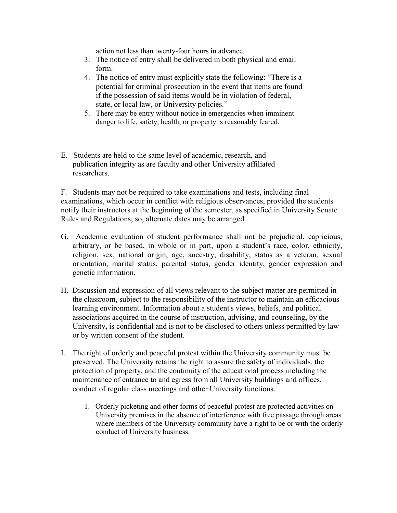action not less than twenty-four hours in advance.

- 3. The notice of entry shall be delivered in both physical and email form.
- 4. The notice of entry must explicitly state the following: "There is a potential for criminal prosecution in the event that items are found if the possession of said items would be in violation of federal, state, or local law, or University policies."
- 5. There may be entry without notice in emergencies when imminent danger to life, safety, health, or property is reasonably feared.
- E. Students are held to the same level of academic, research, and publication integrity as are faculty and other University affiliated researchers.

F. Students may not be required to take examinations and tests, including final examinations, which occur in conflict with religious observances, provided the students notify their instructors at the beginning of the semester, as specified in University Senate Rules and Regulations; so, alternate dates may be arranged.

- G. Academic evaluation of student performance shall not be prejudicial, capricious, arbitrary, or be based, in whole or in part, upon a student's race, color, ethnicity, religion, sex, national origin, age, ancestry, disability, status as a veteran, sexual orientation, marital status, parental status, gender identity, gender expression and genetic information.
- H. Discussion and expression of all views relevant to the subject matter are permitted in the classroom, subject to the responsibility of the instructor to maintain an efficacious learning environment. Information about a student's views, beliefs, and political associations acquired in the course of instruction, advising, and counseling**,** by the University**,** is confidential and is not to be disclosed to others unless permitted by law or by written consent of the student.
- I. The right of orderly and peaceful protest within the University community must be preserved. The University retains the right to assure the safety of individuals, the protection of property, and the continuity of the educational process including the maintenance of entrance to and egress from all University buildings and offices, conduct of regular class meetings and other University functions.
	- 1. Orderly picketing and other forms of peaceful protest are protected activities on University premises in the absence of interference with free passage through areas where members of the University community have a right to be or with the orderly conduct of University business.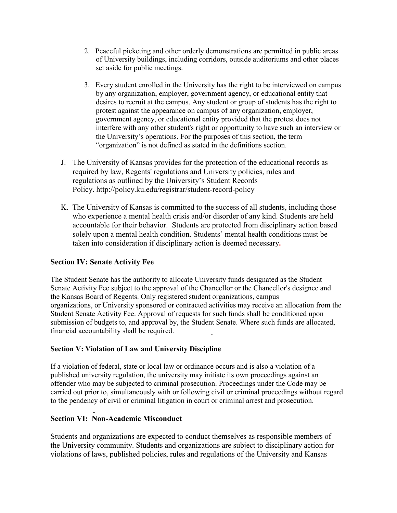- 2. Peaceful picketing and other orderly demonstrations are permitted in public areas of University buildings, including corridors, outside auditoriums and other places set aside for public meetings.
- 3. Every student enrolled in the University has the right to be interviewed on campus by any organization, employer, government agency, or educational entity that desires to recruit at the campus. Any student or group of students has the right to protest against the appearance on campus of any organization, employer, government agency, or educational entity provided that the protest does not interfere with any other student's right or opportunity to have such an interview or the University's operations. For the purposes of this section, the term "organization" is not defined as stated in the definitions section.
- J. The University of Kansas provides for the protection of the educational records as required by law, Regents' regulations and University policies, rules and regulations as outlined by the University's Student Records Policy. <http://policy.ku.edu/registrar/student-record-policy>
- K. The University of Kansas is committed to the success of all students, including those who experience a mental health crisis and/or disorder of any kind. Students are held accountable for their behavior. Students are protected from disciplinary action based solely upon a mental health condition. Students' mental health conditions must be taken into consideration if disciplinary action is deemed necessary**.**

### **Section IV: Senate Activity Fee**

The Student Senate has the authority to allocate University funds designated as the Student Senate Activity Fee subject to the approval of the Chancellor or the Chancellor's designee and the Kansas Board of Regents. Only registered student organizations, campus organizations, or University sponsored or contracted activities may receive an allocation from the Student Senate Activity Fee. Approval of requests for such funds shall be conditioned upon submission of budgets to, and approval by, the Student Senate. Where such funds are allocated, financial accountability shall be required.

### **Section V: Violation of Law and University Discipline**

If a violation of federal, state or local law or ordinance occurs and is also a violation of a published university regulation, the university may initiate its own proceedings against an offender who may be subjected to criminal prosecution. Proceedings under the Code may be carried out prior to, simultaneously with or following civil or criminal proceedings without regard to the pendency of civil or criminal litigation in court or criminal arrest and prosecution.

# **Section VI: Non-Academic Misconduct**

Students and organizations are expected to conduct themselves as responsible members of the University community. Students and organizations are subject to disciplinary action for violations of laws, published policies, rules and regulations of the University and Kansas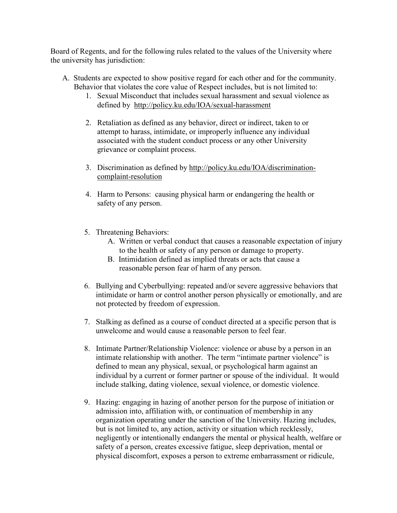Board of Regents, and for the following rules related to the values of the University where the university has jurisdiction:

- A. Students are expected to show positive regard for each other and for the community. Behavior that violates the core value of Respect includes, but is not limited to:
	- 1. Sexual Misconduct that includes sexual harassment and sexual violence as defined by <http://policy.ku.edu/IOA/sexual-harassment>
	- 2. Retaliation as defined as any behavior, direct or indirect, taken to or attempt to harass, intimidate, or improperly influence any individual associated with the student conduct process or any other University grievance or complaint process.
	- 3. Discrimination as defined by [http://policy.ku.edu/IOA/discrimination](http://policy.ku.edu/IOA/discrimination-complaint-resolution)[complaint-resolution](http://policy.ku.edu/IOA/discrimination-complaint-resolution)
	- 4. Harm to Persons: causing physical harm or endangering the health or safety of any person.
	- 5. Threatening Behaviors:
		- A. Written or verbal conduct that causes a reasonable expectation of injury to the health or safety of any person or damage to property.
		- B. Intimidation defined as implied threats or acts that cause a reasonable person fear of harm of any person.
	- 6. Bullying and Cyberbullying: repeated and/or severe aggressive behaviors that intimidate or harm or control another person physically or emotionally, and are not protected by freedom of expression.
	- 7. Stalking as defined as a course of conduct directed at a specific person that is unwelcome and would cause a reasonable person to feel fear.
	- 8. Intimate Partner/Relationship Violence: violence or abuse by a person in an intimate relationship with another. The term "intimate partner violence" is defined to mean any physical, sexual, or psychological harm against an individual by a current or former partner or spouse of the individual. It would include stalking, dating violence, sexual violence, or domestic violence.
	- 9. Hazing: engaging in hazing of another person for the purpose of initiation or admission into, affiliation with, or continuation of membership in any organization operating under the sanction of the University. Hazing includes, but is not limited to, any action, activity or situation which recklessly, negligently or intentionally endangers the mental or physical health, welfare or safety of a person, creates excessive fatigue, sleep deprivation, mental or physical discomfort, exposes a person to extreme embarrassment or ridicule,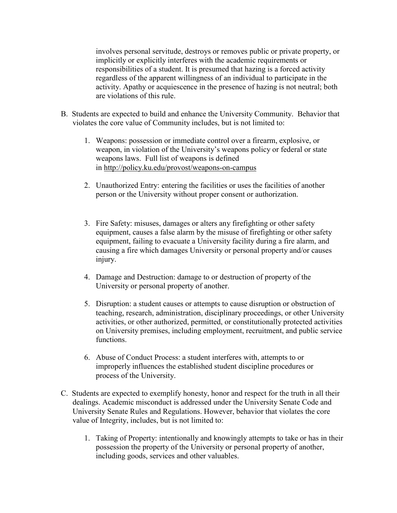involves personal servitude, destroys or removes public or private property, or implicitly or explicitly interferes with the academic requirements or responsibilities of a student. It is presumed that hazing is a forced activity regardless of the apparent willingness of an individual to participate in the activity. Apathy or acquiescence in the presence of hazing is not neutral; both are violations of this rule.

- B. Students are expected to build and enhance the University Community. Behavior that violates the core value of Community includes, but is not limited to:
	- 1. Weapons: possession or immediate control over a firearm, explosive, or weapon, in violation of the University's weapons policy or federal or state weapons laws. Full list of weapons is defined in <http://policy.ku.edu/provost/weapons-on-campus>
	- 2. Unauthorized Entry: entering the facilities or uses the facilities of another person or the University without proper consent or authorization.
	- 3. Fire Safety: misuses, damages or alters any firefighting or other safety equipment, causes a false alarm by the misuse of firefighting or other safety equipment, failing to evacuate a University facility during a fire alarm, and causing a fire which damages University or personal property and/or causes injury.
	- 4. Damage and Destruction: damage to or destruction of property of the University or personal property of another.
	- 5. Disruption: a student causes or attempts to cause disruption or obstruction of teaching, research, administration, disciplinary proceedings, or other University activities, or other authorized, permitted, or constitutionally protected activities on University premises, including employment, recruitment, and public service functions.
	- 6. Abuse of Conduct Process: a student interferes with, attempts to or improperly influences the established student discipline procedures or process of the University.
- C. Students are expected to exemplify honesty, honor and respect for the truth in all their dealings. Academic misconduct is addressed under the University Senate Code and University Senate Rules and Regulations. However, behavior that violates the core value of Integrity, includes, but is not limited to:
	- 1. Taking of Property: intentionally and knowingly attempts to take or has in their possession the property of the University or personal property of another, including goods, services and other valuables.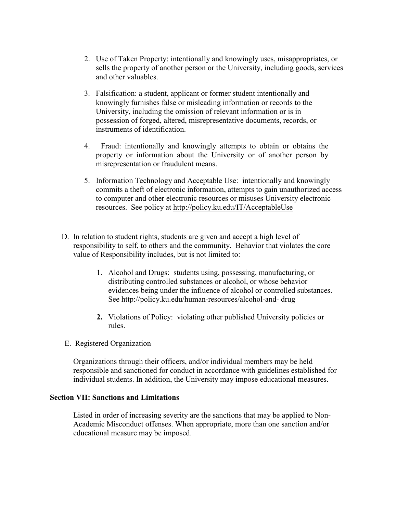- 2. Use of Taken Property: intentionally and knowingly uses, misappropriates, or sells the property of another person or the University, including goods, services and other valuables.
- 3. Falsification: a student, applicant or former student intentionally and knowingly furnishes false or misleading information or records to the University, including the omission of relevant information or is in possession of forged, altered, misrepresentative documents, records, or instruments of identification.
- 4. Fraud: intentionally and knowingly attempts to obtain or obtains the property or information about the University or of another person by misrepresentation or fraudulent means.
- 5. Information Technology and Acceptable Use: intentionally and knowingly commits a theft of electronic information, attempts to gain unauthorized access to computer and other electronic resources or misuses University electronic resources. See policy at <http://policy.ku.edu/IT/AcceptableUse>
- D. In relation to student rights, students are given and accept a high level of responsibility to self, to others and the community. Behavior that violates the core value of Responsibility includes, but is not limited to:
	- 1. Alcohol and Drugs: students using, possessing, manufacturing, or distributing controlled substances or alcohol, or whose behavior evidences being under the influence of alcohol or controlled substances. See [http://policy.ku.edu/human-resources/alcohol-and-](http://policy.ku.edu/human-resources/alcohol-and-drug) [drug](http://policy.ku.edu/human-resources/alcohol-and-drug)
	- **2.** Violations of Policy: violating other published University policies or rules.
- E. Registered Organization

Organizations through their officers, and/or individual members may be held responsible and sanctioned for conduct in accordance with guidelines established for individual students. In addition, the University may impose educational measures.

#### **Section VII: Sanctions and Limitations**

Listed in order of increasing severity are the sanctions that may be applied to Non-Academic Misconduct offenses. When appropriate, more than one sanction and/or educational measure may be imposed.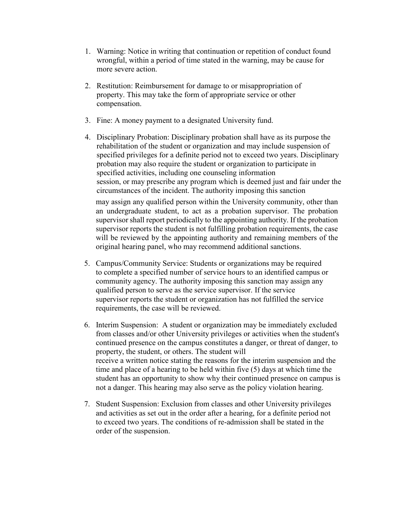- 1. Warning: Notice in writing that continuation or repetition of conduct found wrongful, within a period of time stated in the warning, may be cause for more severe action.
- 2. Restitution: Reimbursement for damage to or misappropriation of property. This may take the form of appropriate service or other compensation.
- 3. Fine: A money payment to a designated University fund.
- 4. Disciplinary Probation: Disciplinary probation shall have as its purpose the rehabilitation of the student or organization and may include suspension of specified privileges for a definite period not to exceed two years. Disciplinary probation may also require the student or organization to participate in specified activities, including one counseling information session, or may prescribe any program which is deemed just and fair under the circumstances of the incident. The authority imposing this sanction may assign any qualified person within the University community, other than an undergraduate student, to act as a probation supervisor. The probation supervisor shall report periodically to the appointing authority. If the probation supervisor reports the student is not fulfilling probation requirements, the case will be reviewed by the appointing authority and remaining members of the original hearing panel, who may recommend additional sanctions.
- 5. Campus/Community Service: Students or organizations may be required to complete a specified number of service hours to an identified campus or community agency. The authority imposing this sanction may assign any qualified person to serve as the service supervisor. If the service supervisor reports the student or organization has not fulfilled the service requirements, the case will be reviewed.
- 6. Interim Suspension: A student or organization may be immediately excluded from classes and/or other University privileges or activities when the student's continued presence on the campus constitutes a danger, or threat of danger, to property, the student, or others. The student will receive a written notice stating the reasons for the interim suspension and the time and place of a hearing to be held within five (5) days at which time the student has an opportunity to show why their continued presence on campus is not a danger. This hearing may also serve as the policy violation hearing.
- 7. Student Suspension: Exclusion from classes and other University privileges and activities as set out in the order after a hearing, for a definite period not to exceed two years. The conditions of re-admission shall be stated in the order of the suspension.